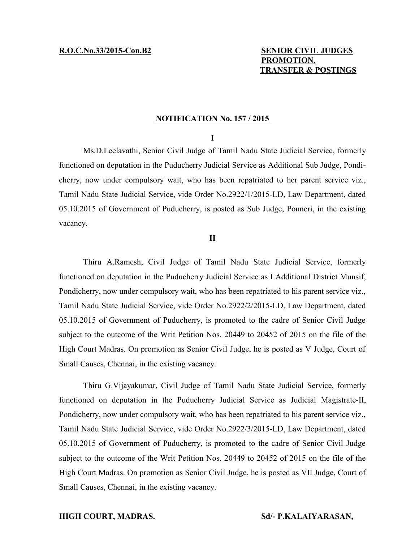# **R.O.C.No.33/2015-Con.B2** SENIOR CIVIL JUDGES  **PROMOTION, TRANSFER & POSTINGS**

## **NOTIFICATION No. 157 / 2015**

### **I**

Ms.D.Leelavathi, Senior Civil Judge of Tamil Nadu State Judicial Service, formerly functioned on deputation in the Puducherry Judicial Service as Additional Sub Judge, Pondicherry, now under compulsory wait, who has been repatriated to her parent service viz., Tamil Nadu State Judicial Service, vide Order No.2922/1/2015-LD, Law Department, dated 05.10.2015 of Government of Puducherry, is posted as Sub Judge, Ponneri, in the existing vacancy.

# **II**

Thiru A.Ramesh, Civil Judge of Tamil Nadu State Judicial Service, formerly functioned on deputation in the Puducherry Judicial Service as I Additional District Munsif, Pondicherry, now under compulsory wait, who has been repatriated to his parent service viz., Tamil Nadu State Judicial Service, vide Order No.2922/2/2015-LD, Law Department, dated 05.10.2015 of Government of Puducherry, is promoted to the cadre of Senior Civil Judge subject to the outcome of the Writ Petition Nos. 20449 to 20452 of 2015 on the file of the High Court Madras. On promotion as Senior Civil Judge, he is posted as V Judge, Court of Small Causes, Chennai, in the existing vacancy.

Thiru G.Vijayakumar, Civil Judge of Tamil Nadu State Judicial Service, formerly functioned on deputation in the Puducherry Judicial Service as Judicial Magistrate-II, Pondicherry, now under compulsory wait, who has been repatriated to his parent service viz., Tamil Nadu State Judicial Service, vide Order No.2922/3/2015-LD, Law Department, dated 05.10.2015 of Government of Puducherry, is promoted to the cadre of Senior Civil Judge subject to the outcome of the Writ Petition Nos. 20449 to 20452 of 2015 on the file of the High Court Madras. On promotion as Senior Civil Judge, he is posted as VII Judge, Court of Small Causes, Chennai, in the existing vacancy.

### **HIGH COURT, MADRAS. Sd/- P.KALAIYARASAN,**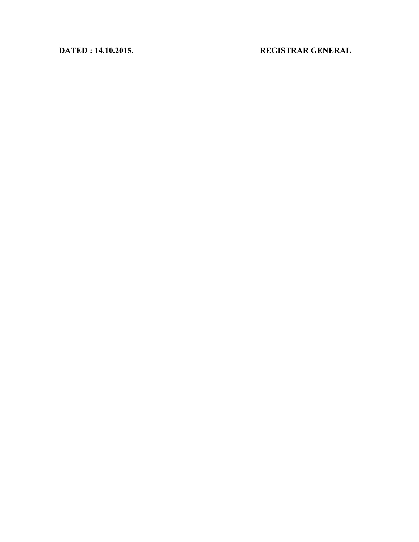# **DATED : 14.10.2015. REGISTRAR GENERAL**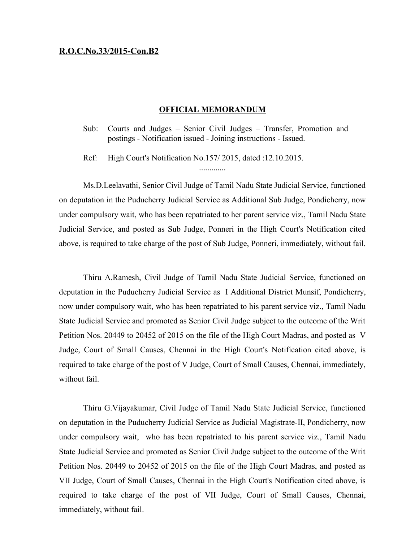### **R.O.C.No.33/2015-Con.B2**

### **OFFICIAL MEMORANDUM**

- Sub: Courts and Judges Senior Civil Judges Transfer, Promotion and postings - Notification issued - Joining instructions - Issued.
- Ref: High Court's Notification No.157/ 2015, dated :12.10.2015.

Ms.D.Leelavathi, Senior Civil Judge of Tamil Nadu State Judicial Service, functioned on deputation in the Puducherry Judicial Service as Additional Sub Judge, Pondicherry, now under compulsory wait, who has been repatriated to her parent service viz., Tamil Nadu State Judicial Service, and posted as Sub Judge, Ponneri in the High Court's Notification cited above, is required to take charge of the post of Sub Judge, Ponneri, immediately, without fail.

Thiru A.Ramesh, Civil Judge of Tamil Nadu State Judicial Service, functioned on deputation in the Puducherry Judicial Service as I Additional District Munsif, Pondicherry, now under compulsory wait, who has been repatriated to his parent service viz., Tamil Nadu State Judicial Service and promoted as Senior Civil Judge subject to the outcome of the Writ Petition Nos. 20449 to 20452 of 2015 on the file of the High Court Madras, and posted as V Judge, Court of Small Causes, Chennai in the High Court's Notification cited above, is required to take charge of the post of V Judge, Court of Small Causes, Chennai, immediately, without fail.

Thiru G.Vijayakumar, Civil Judge of Tamil Nadu State Judicial Service, functioned on deputation in the Puducherry Judicial Service as Judicial Magistrate-II, Pondicherry, now under compulsory wait, who has been repatriated to his parent service viz., Tamil Nadu State Judicial Service and promoted as Senior Civil Judge subject to the outcome of the Writ Petition Nos. 20449 to 20452 of 2015 on the file of the High Court Madras, and posted as VII Judge, Court of Small Causes, Chennai in the High Court's Notification cited above, is required to take charge of the post of VII Judge, Court of Small Causes, Chennai, immediately, without fail.